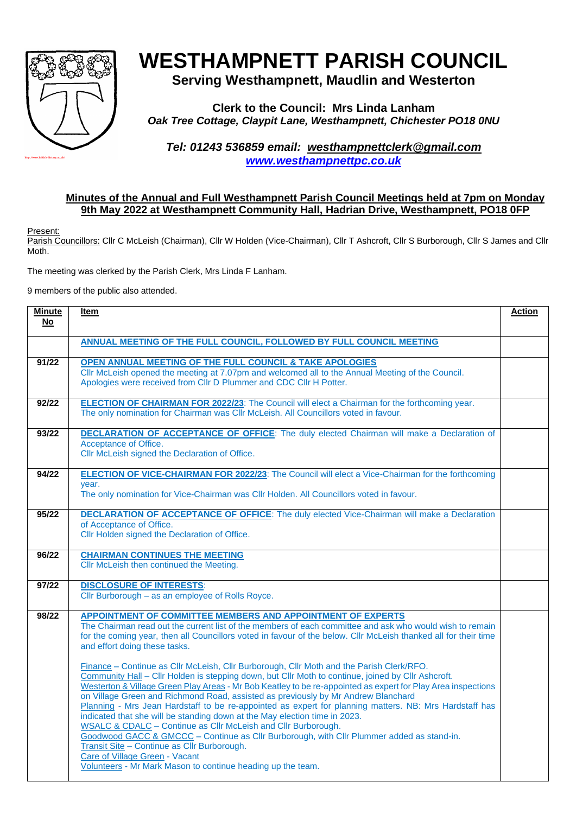

# **WESTHAMPNETT PARISH COUNCIL**

## **Serving Westhampnett, Maudlin and Westerton**

**Clerk to the Council: Mrs Linda Lanham** *Oak Tree Cottage, Claypit Lane, Westhampnett, Chichester PO18 0NU*

*Tel: 01243 536859 email: [westhampnettclerk@gmail.com](mailto:westhampnettclerk@gmail.com) [www.westhampnettpc.co.uk](http://www.westhampnettpc.co.uk/)*

### **Minutes of the Annual and Full Westhampnett Parish Council Meetings held at 7pm on Monday 9th May 2022 at Westhampnett Community Hall, Hadrian Drive, Westhampnett, PO18 0FP**

Present:

Parish Councillors: Cllr C McLeish (Chairman), Cllr W Holden (Vice-Chairman), Cllr T Ashcroft, Cllr S Burborough, Cllr S James and Cllr Moth.

The meeting was clerked by the Parish Clerk, Mrs Linda F Lanham.

9 members of the public also attended.

| <b>Minute</b><br>No | Item                                                                                                                                                                                                                                                                                                                                                                                                                                                                                                                                                                                                                                                                                                                                                                                                                                                                                                                                                                                                                                                                                                                                                                                                                                     | <b>Action</b> |
|---------------------|------------------------------------------------------------------------------------------------------------------------------------------------------------------------------------------------------------------------------------------------------------------------------------------------------------------------------------------------------------------------------------------------------------------------------------------------------------------------------------------------------------------------------------------------------------------------------------------------------------------------------------------------------------------------------------------------------------------------------------------------------------------------------------------------------------------------------------------------------------------------------------------------------------------------------------------------------------------------------------------------------------------------------------------------------------------------------------------------------------------------------------------------------------------------------------------------------------------------------------------|---------------|
|                     | ANNUAL MEETING OF THE FULL COUNCIL, FOLLOWED BY FULL COUNCIL MEETING                                                                                                                                                                                                                                                                                                                                                                                                                                                                                                                                                                                                                                                                                                                                                                                                                                                                                                                                                                                                                                                                                                                                                                     |               |
| 91/22               | OPEN ANNUAL MEETING OF THE FULL COUNCIL & TAKE APOLOGIES<br>Cllr McLeish opened the meeting at 7.07pm and welcomed all to the Annual Meeting of the Council.<br>Apologies were received from Cllr D Plummer and CDC Cllr H Potter.                                                                                                                                                                                                                                                                                                                                                                                                                                                                                                                                                                                                                                                                                                                                                                                                                                                                                                                                                                                                       |               |
| 92/22               | <b>ELECTION OF CHAIRMAN FOR 2022/23:</b> The Council will elect a Chairman for the forthcoming year.<br>The only nomination for Chairman was Cllr McLeish. All Councillors voted in favour.                                                                                                                                                                                                                                                                                                                                                                                                                                                                                                                                                                                                                                                                                                                                                                                                                                                                                                                                                                                                                                              |               |
| 93/22               | <b>DECLARATION OF ACCEPTANCE OF OFFICE:</b> The duly elected Chairman will make a Declaration of<br>Acceptance of Office.<br>Cllr McLeish signed the Declaration of Office.                                                                                                                                                                                                                                                                                                                                                                                                                                                                                                                                                                                                                                                                                                                                                                                                                                                                                                                                                                                                                                                              |               |
| 94/22               | <b>ELECTION OF VICE-CHAIRMAN FOR 2022/23:</b> The Council will elect a Vice-Chairman for the forthcoming<br>year.<br>The only nomination for Vice-Chairman was Cllr Holden. All Councillors voted in favour.                                                                                                                                                                                                                                                                                                                                                                                                                                                                                                                                                                                                                                                                                                                                                                                                                                                                                                                                                                                                                             |               |
| 95/22               | <b>DECLARATION OF ACCEPTANCE OF OFFICE:</b> The duly elected Vice-Chairman will make a Declaration<br>of Acceptance of Office.<br>Cllr Holden signed the Declaration of Office.                                                                                                                                                                                                                                                                                                                                                                                                                                                                                                                                                                                                                                                                                                                                                                                                                                                                                                                                                                                                                                                          |               |
| 96/22               | <b>CHAIRMAN CONTINUES THE MEETING</b><br>Cllr McLeish then continued the Meeting.                                                                                                                                                                                                                                                                                                                                                                                                                                                                                                                                                                                                                                                                                                                                                                                                                                                                                                                                                                                                                                                                                                                                                        |               |
| 97/22               | <b>DISCLOSURE OF INTERESTS:</b><br>Cllr Burborough - as an employee of Rolls Royce.                                                                                                                                                                                                                                                                                                                                                                                                                                                                                                                                                                                                                                                                                                                                                                                                                                                                                                                                                                                                                                                                                                                                                      |               |
| 98/22               | APPOINTMENT OF COMMITTEE MEMBERS AND APPOINTMENT OF EXPERTS<br>The Chairman read out the current list of the members of each committee and ask who would wish to remain<br>for the coming year, then all Councillors voted in favour of the below. Cllr McLeish thanked all for their time<br>and effort doing these tasks.<br>Finance - Continue as Cllr McLeish, Cllr Burborough, Cllr Moth and the Parish Clerk/RFO.<br>Community Hall - Cllr Holden is stepping down, but Cllr Moth to continue, joined by Cllr Ashcroft.<br>Westerton & Village Green Play Areas - Mr Bob Keatley to be re-appointed as expert for Play Area inspections<br>on Village Green and Richmond Road, assisted as previously by Mr Andrew Blanchard<br>Planning - Mrs Jean Hardstaff to be re-appointed as expert for planning matters. NB: Mrs Hardstaff has<br>indicated that she will be standing down at the May election time in 2023.<br>WSALC & CDALC - Continue as CIIr McLeish and CIIr Burborough.<br>Goodwood GACC & GMCCC - Continue as Cllr Burborough, with Cllr Plummer added as stand-in.<br>Transit Site - Continue as Cllr Burborough.<br>Care of Village Green - Vacant<br>Volunteers - Mr Mark Mason to continue heading up the team. |               |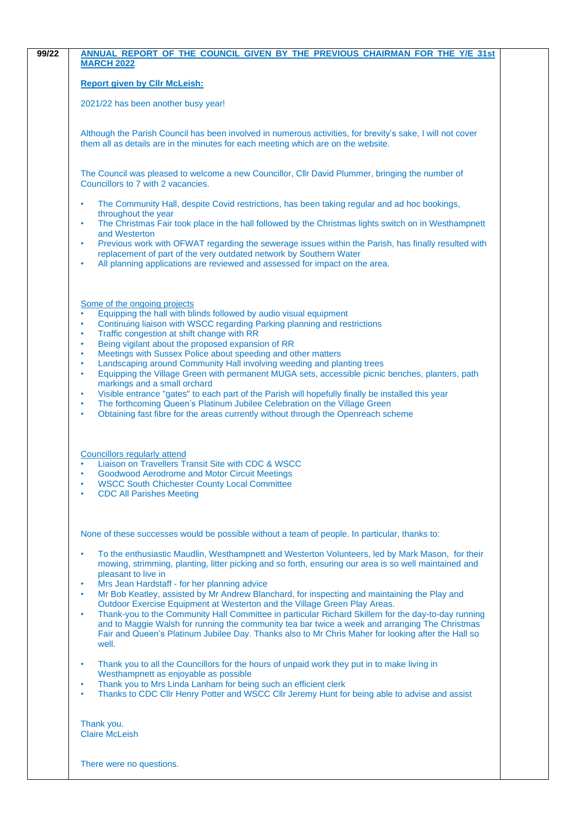|                        | <b>Report given by Cllr McLeish:</b>                                                                                                                                                                                                                                                                                 |
|------------------------|----------------------------------------------------------------------------------------------------------------------------------------------------------------------------------------------------------------------------------------------------------------------------------------------------------------------|
|                        | 2021/22 has been another busy year!                                                                                                                                                                                                                                                                                  |
|                        | Although the Parish Council has been involved in numerous activities, for brevity's sake, I will not cover<br>them all as details are in the minutes for each meeting which are on the website.                                                                                                                      |
|                        | The Council was pleased to welcome a new Councillor, Cllr David Plummer, bringing the number of<br>Councillors to 7 with 2 vacancies.                                                                                                                                                                                |
| ٠                      | The Community Hall, despite Covid restrictions, has been taking regular and ad hoc bookings,                                                                                                                                                                                                                         |
| $\bullet$              | throughout the year<br>The Christmas Fair took place in the hall followed by the Christmas lights switch on in Westhampnett                                                                                                                                                                                          |
| $\bullet$              | and Westerton<br>Previous work with OFWAT regarding the sewerage issues within the Parish, has finally resulted with<br>replacement of part of the very outdated network by Southern Water                                                                                                                           |
| $\bullet$              | All planning applications are reviewed and assessed for impact on the area.                                                                                                                                                                                                                                          |
|                        | Some of the ongoing projects                                                                                                                                                                                                                                                                                         |
| $\bullet$<br>$\bullet$ | Equipping the hall with blinds followed by audio visual equipment<br>Continuing liaison with WSCC regarding Parking planning and restrictions                                                                                                                                                                        |
| $\bullet$<br>٠         | Traffic congestion at shift change with RR<br>Being vigilant about the proposed expansion of RR                                                                                                                                                                                                                      |
| $\bullet$<br>$\bullet$ | Meetings with Sussex Police about speeding and other matters<br>Landscaping around Community Hall involving weeding and planting trees                                                                                                                                                                               |
| $\bullet$              | Equipping the Village Green with permanent MUGA sets, accessible picnic benches, planters, path<br>markings and a small orchard                                                                                                                                                                                      |
| ٠                      | Visible entrance "gates" to each part of the Parish will hopefully finally be installed this year                                                                                                                                                                                                                    |
| ٠<br>$\bullet$         | The forthcoming Queen's Platinum Jubilee Celebration on the Village Green<br>Obtaining fast fibre for the areas currently without through the Openreach scheme                                                                                                                                                       |
|                        |                                                                                                                                                                                                                                                                                                                      |
|                        | <b>Councillors regularly attend</b><br>Liaison on Travellers Transit Site with CDC & WSCC                                                                                                                                                                                                                            |
|                        | <b>Goodwood Aerodrome and Motor Circuit Meetings</b><br><b>WSCC South Chichester County Local Committee</b>                                                                                                                                                                                                          |
|                        | <b>CDC All Parishes Meeting</b>                                                                                                                                                                                                                                                                                      |
|                        | None of these successes would be possible without a team of people. In particular, thanks to:                                                                                                                                                                                                                        |
| $\bullet$              | To the enthusiastic Maudlin, Westhampnett and Westerton Volunteers, led by Mark Mason, for their<br>mowing, strimming, planting, litter picking and so forth, ensuring our area is so well maintained and                                                                                                            |
| $\bullet$              | pleasant to live in<br>Mrs Jean Hardstaff - for her planning advice                                                                                                                                                                                                                                                  |
| $\bullet$              | Mr Bob Keatley, assisted by Mr Andrew Blanchard, for inspecting and maintaining the Play and<br>Outdoor Exercise Equipment at Westerton and the Village Green Play Areas.                                                                                                                                            |
| $\bullet$              | Thank-you to the Community Hall Committee in particular Richard Skillern for the day-to-day running<br>and to Maggie Walsh for running the community tea bar twice a week and arranging The Christmas<br>Fair and Queen's Platinum Jubilee Day. Thanks also to Mr Chris Maher for looking after the Hall so<br>well. |
| $\bullet$              | Thank you to all the Councillors for the hours of unpaid work they put in to make living in<br>Westhampnett as enjoyable as possible                                                                                                                                                                                 |
| $\bullet$<br>٠         | Thank you to Mrs Linda Lanham for being such an efficient clerk<br>Thanks to CDC Cllr Henry Potter and WSCC Cllr Jeremy Hunt for being able to advise and assist                                                                                                                                                     |
|                        | Thank you.<br><b>Claire McLeish</b>                                                                                                                                                                                                                                                                                  |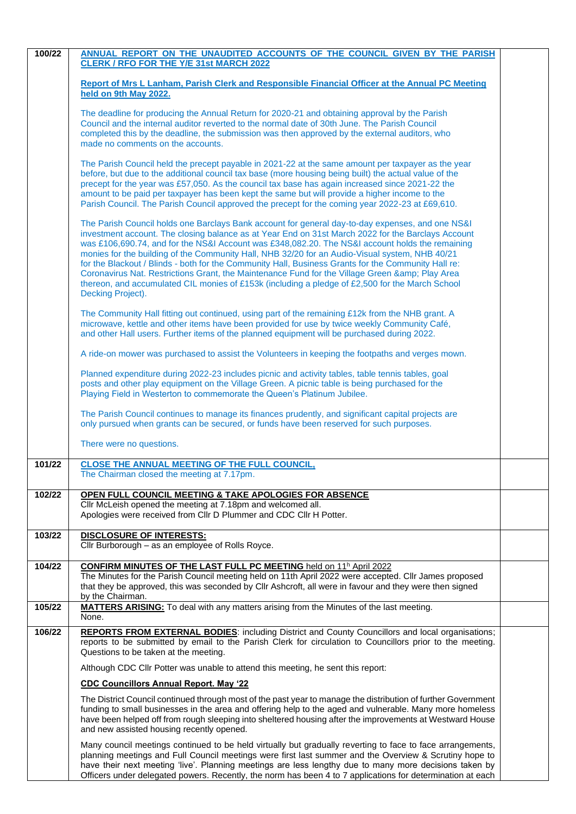| 100/22 | ANNUAL REPORT ON THE UNAUDITED ACCOUNTS OF THE COUNCIL GIVEN BY THE PARISH                                                                                                                                                                                                                                                                                                                                                                                                                                                                                                                                                                                                                                                                |  |
|--------|-------------------------------------------------------------------------------------------------------------------------------------------------------------------------------------------------------------------------------------------------------------------------------------------------------------------------------------------------------------------------------------------------------------------------------------------------------------------------------------------------------------------------------------------------------------------------------------------------------------------------------------------------------------------------------------------------------------------------------------------|--|
|        | <b>CLERK / RFO FOR THE Y/E 31st MARCH 2022</b>                                                                                                                                                                                                                                                                                                                                                                                                                                                                                                                                                                                                                                                                                            |  |
|        | Report of Mrs L Lanham, Parish Clerk and Responsible Financial Officer at the Annual PC Meeting<br>held on 9th May 2022.                                                                                                                                                                                                                                                                                                                                                                                                                                                                                                                                                                                                                  |  |
|        | The deadline for producing the Annual Return for 2020-21 and obtaining approval by the Parish<br>Council and the internal auditor reverted to the normal date of 30th June. The Parish Council<br>completed this by the deadline, the submission was then approved by the external auditors, who<br>made no comments on the accounts.                                                                                                                                                                                                                                                                                                                                                                                                     |  |
|        | The Parish Council held the precept payable in 2021-22 at the same amount per taxpayer as the year<br>before, but due to the additional council tax base (more housing being built) the actual value of the<br>precept for the year was £57,050. As the council tax base has again increased since 2021-22 the<br>amount to be paid per taxpayer has been kept the same but will provide a higher income to the<br>Parish Council. The Parish Council approved the precept for the coming year 2022-23 at £69,610.                                                                                                                                                                                                                        |  |
|        | The Parish Council holds one Barclays Bank account for general day-to-day expenses, and one NS&I<br>investment account. The closing balance as at Year End on 31st March 2022 for the Barclays Account<br>was £106,690.74, and for the NS&I Account was £348,082.20. The NS&I account holds the remaining<br>monies for the building of the Community Hall, NHB 32/20 for an Audio-Visual system, NHB 40/21<br>for the Blackout / Blinds - both for the Community Hall, Business Grants for the Community Hall re:<br>Coronavirus Nat. Restrictions Grant, the Maintenance Fund for the Village Green & Play Area<br>thereon, and accumulated CIL monies of £153k (including a pledge of £2,500 for the March School<br>Decking Project). |  |
|        | The Community Hall fitting out continued, using part of the remaining £12k from the NHB grant. A<br>microwave, kettle and other items have been provided for use by twice weekly Community Café,<br>and other Hall users. Further items of the planned equipment will be purchased during 2022.                                                                                                                                                                                                                                                                                                                                                                                                                                           |  |
|        | A ride-on mower was purchased to assist the Volunteers in keeping the footpaths and verges mown.                                                                                                                                                                                                                                                                                                                                                                                                                                                                                                                                                                                                                                          |  |
|        | Planned expenditure during 2022-23 includes picnic and activity tables, table tennis tables, goal<br>posts and other play equipment on the Village Green. A picnic table is being purchased for the<br>Playing Field in Westerton to commemorate the Queen's Platinum Jubilee.                                                                                                                                                                                                                                                                                                                                                                                                                                                            |  |
|        | The Parish Council continues to manage its finances prudently, and significant capital projects are<br>only pursued when grants can be secured, or funds have been reserved for such purposes.                                                                                                                                                                                                                                                                                                                                                                                                                                                                                                                                            |  |
|        | There were no questions.                                                                                                                                                                                                                                                                                                                                                                                                                                                                                                                                                                                                                                                                                                                  |  |
| 101/22 | <b>CLOSE THE ANNUAL MEETING OF THE FULL COUNCIL,</b><br>The Chairman closed the meeting at 7.17pm.                                                                                                                                                                                                                                                                                                                                                                                                                                                                                                                                                                                                                                        |  |
| 102/22 | OPEN FULL COUNCIL MEETING & TAKE APOLOGIES FOR ABSENCE<br>Cllr McLeish opened the meeting at 7.18pm and welcomed all.<br>Apologies were received from Cllr D Plummer and CDC Cllr H Potter.                                                                                                                                                                                                                                                                                                                                                                                                                                                                                                                                               |  |
| 103/22 | <b>DISCLOSURE OF INTERESTS:</b><br>Cllr Burborough - as an employee of Rolls Royce.                                                                                                                                                                                                                                                                                                                                                                                                                                                                                                                                                                                                                                                       |  |
| 104/22 | <b>CONFIRM MINUTES OF THE LAST FULL PC MEETING held on 11h April 2022</b><br>The Minutes for the Parish Council meeting held on 11th April 2022 were accepted. Cllr James proposed<br>that they be approved, this was seconded by Cllr Ashcroft, all were in favour and they were then signed<br>by the Chairman.                                                                                                                                                                                                                                                                                                                                                                                                                         |  |
| 105/22 | MATTERS ARISING: To deal with any matters arising from the Minutes of the last meeting.<br>None.                                                                                                                                                                                                                                                                                                                                                                                                                                                                                                                                                                                                                                          |  |
| 106/22 | <b>REPORTS FROM EXTERNAL BODIES:</b> including District and County Councillors and local organisations;<br>reports to be submitted by email to the Parish Clerk for circulation to Councillors prior to the meeting.<br>Questions to be taken at the meeting.                                                                                                                                                                                                                                                                                                                                                                                                                                                                             |  |
|        | Although CDC Cllr Potter was unable to attend this meeting, he sent this report:                                                                                                                                                                                                                                                                                                                                                                                                                                                                                                                                                                                                                                                          |  |
|        | <b>CDC Councillors Annual Report. May '22</b>                                                                                                                                                                                                                                                                                                                                                                                                                                                                                                                                                                                                                                                                                             |  |
|        | The District Council continued through most of the past year to manage the distribution of further Government<br>funding to small businesses in the area and offering help to the aged and vulnerable. Many more homeless<br>have been helped off from rough sleeping into sheltered housing after the improvements at Westward House<br>and new assisted housing recently opened.                                                                                                                                                                                                                                                                                                                                                        |  |
|        | Many council meetings continued to be held virtually but gradually reverting to face to face arrangements,<br>planning meetings and Full Council meetings were first last summer and the Overview & Scrutiny hope to<br>have their next meeting 'live'. Planning meetings are less lengthy due to many more decisions taken by<br>Officers under delegated powers. Recently, the norm has been 4 to 7 applications for determination at each                                                                                                                                                                                                                                                                                              |  |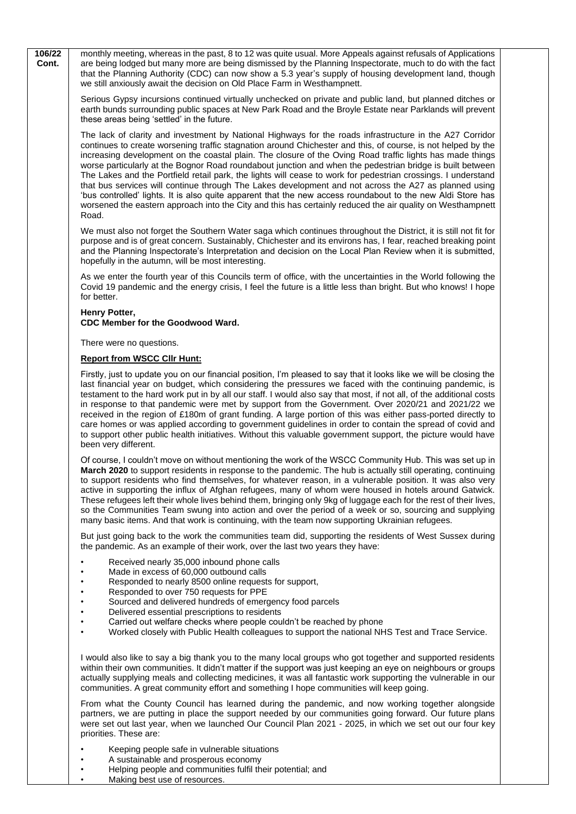**106/22 Cont.** monthly meeting, whereas in the past, 8 to 12 was quite usual. More Appeals against refusals of Applications are being lodged but many more are being dismissed by the Planning Inspectorate, much to do with the fact that the Planning Authority (CDC) can now show a 5.3 year's supply of housing development land, though we still anxiously await the decision on Old Place Farm in Westhampnett.

Serious Gypsy incursions continued virtually unchecked on private and public land, but planned ditches or earth bunds surrounding public spaces at New Park Road and the Broyle Estate near Parklands will prevent these areas being 'settled' in the future.

The lack of clarity and investment by National Highways for the roads infrastructure in the A27 Corridor continues to create worsening traffic stagnation around Chichester and this, of course, is not helped by the increasing development on the coastal plain. The closure of the Oving Road traffic lights has made things worse particularly at the Bognor Road roundabout junction and when the pedestrian bridge is built between The Lakes and the Portfield retail park, the lights will cease to work for pedestrian crossings. I understand that bus services will continue through The Lakes development and not across the A27 as planned using 'bus controlled' lights. It is also quite apparent that the new access roundabout to the new Aldi Store has worsened the eastern approach into the City and this has certainly reduced the air quality on Westhampnett Road.

We must also not forget the Southern Water saga which continues throughout the District, it is still not fit for purpose and is of great concern. Sustainably, Chichester and its environs has, I fear, reached breaking point and the Planning Inspectorate's Interpretation and decision on the Local Plan Review when it is submitted, hopefully in the autumn, will be most interesting.

As we enter the fourth year of this Councils term of office, with the uncertainties in the World following the Covid 19 pandemic and the energy crisis, I feel the future is a little less than bright. But who knows! I hope for better.

#### **Henry Potter, CDC Member for the Goodwood Ward.**

There were no questions.

#### **Report from WSCC Cllr Hunt:**

Firstly, just to update you on our financial position, I'm pleased to say that it looks like we will be closing the last financial year on budget, which considering the pressures we faced with the continuing pandemic, is testament to the hard work put in by all our staff. I would also say that most, if not all, of the additional costs in response to that pandemic were met by support from the Government. Over 2020/21 and 2021/22 we received in the region of £180m of grant funding. A large portion of this was either pass-ported directly to care homes or was applied according to government guidelines in order to contain the spread of covid and to support other public health initiatives. Without this valuable government support, the picture would have been very different.

Of course, I couldn't move on without mentioning the work of the WSCC Community Hub. This was set up in **March 2020** to support residents in response to the pandemic. The hub is actually still operating, continuing to support residents who find themselves, for whatever reason, in a vulnerable position. It was also very active in supporting the influx of Afghan refugees, many of whom were housed in hotels around Gatwick. These refugees left their whole lives behind them, bringing only 9kg of luggage each for the rest of their lives, so the Communities Team swung into action and over the period of a week or so, sourcing and supplying many basic items. And that work is continuing, with the team now supporting Ukrainian refugees.

But just going back to the work the communities team did, supporting the residents of West Sussex during the pandemic. As an example of their work, over the last two years they have:

- Received nearly 35,000 inbound phone calls
- Made in excess of 60,000 outbound calls
- Responded to nearly 8500 online requests for support,
- Responded to over 750 requests for PPE
- Sourced and delivered hundreds of emergency food parcels
- Delivered essential prescriptions to residents
- Carried out welfare checks where people couldn't be reached by phone
- Worked closely with Public Health colleagues to support the national NHS Test and Trace Service.

I would also like to say a big thank you to the many local groups who got together and supported residents within their own communities. It didn't matter if the support was just keeping an eye on neighbours or groups actually supplying meals and collecting medicines, it was all fantastic work supporting the vulnerable in our communities. A great community effort and something I hope communities will keep going.

From what the County Council has learned during the pandemic, and now working together alongside partners, we are putting in place the support needed by our communities going forward. Our future plans were set out last year, when we launched Our Council Plan 2021 - 2025, in which we set out our four key priorities. These are:

- Keeping people safe in vulnerable situations
- A sustainable and prosperous economy
- Helping people and communities fulfil their potential; and
- Making best use of resources.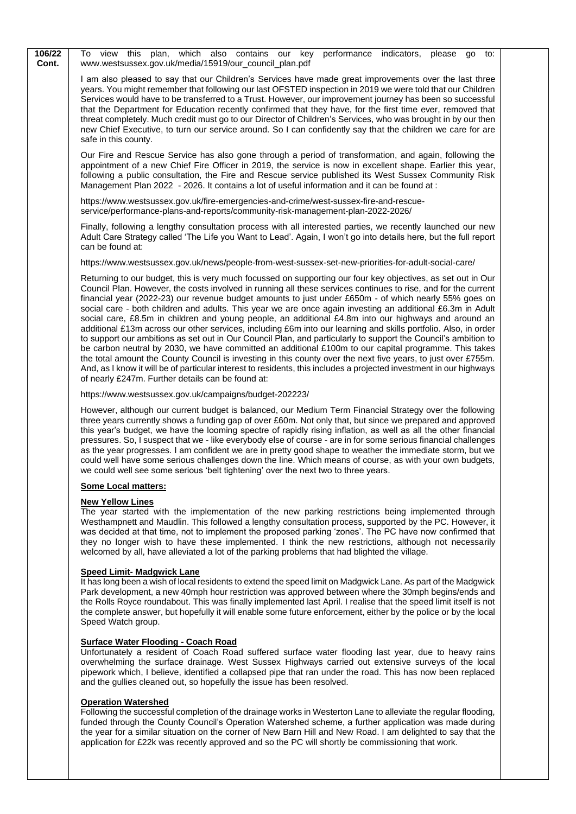| 106/22<br>Cont. | To view this plan, which also contains our key performance indicators,<br>please<br>go<br>to:<br>www.westsussex.gov.uk/media/15919/our_council_plan.pdf                                                                                                                                                                                                                                                                                                                                                                                                                                                                                                                                                                                                                                                                                                                                                                                                                                                                                                                                                                                                                                                  |
|-----------------|----------------------------------------------------------------------------------------------------------------------------------------------------------------------------------------------------------------------------------------------------------------------------------------------------------------------------------------------------------------------------------------------------------------------------------------------------------------------------------------------------------------------------------------------------------------------------------------------------------------------------------------------------------------------------------------------------------------------------------------------------------------------------------------------------------------------------------------------------------------------------------------------------------------------------------------------------------------------------------------------------------------------------------------------------------------------------------------------------------------------------------------------------------------------------------------------------------|
|                 | I am also pleased to say that our Children's Services have made great improvements over the last three<br>years. You might remember that following our last OFSTED inspection in 2019 we were told that our Children<br>Services would have to be transferred to a Trust. However, our improvement journey has been so successful<br>that the Department for Education recently confirmed that they have, for the first time ever, removed that<br>threat completely. Much credit must go to our Director of Children's Services, who was brought in by our then<br>new Chief Executive, to turn our service around. So I can confidently say that the children we care for are<br>safe in this county.                                                                                                                                                                                                                                                                                                                                                                                                                                                                                                  |
|                 | Our Fire and Rescue Service has also gone through a period of transformation, and again, following the<br>appointment of a new Chief Fire Officer in 2019, the service is now in excellent shape. Earlier this year,<br>following a public consultation, the Fire and Rescue service published its West Sussex Community Risk<br>Management Plan 2022 - 2026. It contains a lot of useful information and it can be found at :                                                                                                                                                                                                                                                                                                                                                                                                                                                                                                                                                                                                                                                                                                                                                                           |
|                 | https://www.westsussex.gov.uk/fire-emergencies-and-crime/west-sussex-fire-and-rescue-<br>service/performance-plans-and-reports/community-risk-management-plan-2022-2026/                                                                                                                                                                                                                                                                                                                                                                                                                                                                                                                                                                                                                                                                                                                                                                                                                                                                                                                                                                                                                                 |
|                 | Finally, following a lengthy consultation process with all interested parties, we recently launched our new<br>Adult Care Strategy called 'The Life you Want to Lead'. Again, I won't go into details here, but the full report<br>can be found at:                                                                                                                                                                                                                                                                                                                                                                                                                                                                                                                                                                                                                                                                                                                                                                                                                                                                                                                                                      |
|                 | https://www.westsussex.gov.uk/news/people-from-west-sussex-set-new-priorities-for-adult-social-care/                                                                                                                                                                                                                                                                                                                                                                                                                                                                                                                                                                                                                                                                                                                                                                                                                                                                                                                                                                                                                                                                                                     |
|                 | Returning to our budget, this is very much focussed on supporting our four key objectives, as set out in Our<br>Council Plan. However, the costs involved in running all these services continues to rise, and for the current<br>financial year (2022-23) our revenue budget amounts to just under £650m - of which nearly 55% goes on<br>social care - both children and adults. This year we are once again investing an additional £6.3m in Adult<br>social care, £8.5m in children and young people, an additional £4.8m into our highways and around an<br>additional £13m across our other services, including £6m into our learning and skills portfolio. Also, in order<br>to support our ambitions as set out in Our Council Plan, and particularly to support the Council's ambition to<br>be carbon neutral by 2030, we have committed an additional £100m to our capital programme. This takes<br>the total amount the County Council is investing in this county over the next five years, to just over £755m.<br>And, as I know it will be of particular interest to residents, this includes a projected investment in our highways<br>of nearly £247m. Further details can be found at: |
|                 | https://www.westsussex.gov.uk/campaigns/budget-202223/                                                                                                                                                                                                                                                                                                                                                                                                                                                                                                                                                                                                                                                                                                                                                                                                                                                                                                                                                                                                                                                                                                                                                   |
|                 | However, although our current budget is balanced, our Medium Term Financial Strategy over the following<br>three years currently shows a funding gap of over £60m. Not only that, but since we prepared and approved<br>this year's budget, we have the looming spectre of rapidly rising inflation, as well as all the other financial<br>pressures. So, I suspect that we - like everybody else of course - are in for some serious financial challenges<br>as the year progresses. I am confident we are in pretty good shape to weather the immediate storm, but we<br>could well have some serious challenges down the line. Which means of course, as with your own budgets,<br>we could well see some serious 'belt tightening' over the next two to three years.                                                                                                                                                                                                                                                                                                                                                                                                                                 |
|                 | <b>Some Local matters:</b>                                                                                                                                                                                                                                                                                                                                                                                                                                                                                                                                                                                                                                                                                                                                                                                                                                                                                                                                                                                                                                                                                                                                                                               |
|                 | <b>New Yellow Lines</b><br>The year started with the implementation of the new parking restrictions being implemented through<br>Westhampnett and Maudlin. This followed a lengthy consultation process, supported by the PC. However, it<br>was decided at that time, not to implement the proposed parking 'zones'. The PC have now confirmed that<br>they no longer wish to have these implemented. I think the new restrictions, although not necessarily<br>welcomed by all, have alleviated a lot of the parking problems that had blighted the village.                                                                                                                                                                                                                                                                                                                                                                                                                                                                                                                                                                                                                                           |
|                 | <b>Speed Limit- Madgwick Lane</b><br>It has long been a wish of local residents to extend the speed limit on Madgwick Lane. As part of the Madgwick<br>Park development, a new 40mph hour restriction was approved between where the 30mph begins/ends and<br>the Rolls Royce roundabout. This was finally implemented last April. I realise that the speed limit itself is not<br>the complete answer, but hopefully it will enable some future enforcement, either by the police or by the local<br>Speed Watch group.                                                                                                                                                                                                                                                                                                                                                                                                                                                                                                                                                                                                                                                                                 |
|                 | <b>Surface Water Flooding - Coach Road</b><br>Unfortunately a resident of Coach Road suffered surface water flooding last vear, due to heavy rains                                                                                                                                                                                                                                                                                                                                                                                                                                                                                                                                                                                                                                                                                                                                                                                                                                                                                                                                                                                                                                                       |

Unfortunately a resident of Coach Road suffered surface water flooding last year, due to heavy rains overwhelming the surface drainage. West Sussex Highways carried out extensive surveys of the local pipework which, I believe, identified a collapsed pipe that ran under the road. This has now been replaced and the gullies cleaned out, so hopefully the issue has been resolved.

#### **Operation Watershed**

Following the successful completion of the drainage works in Westerton Lane to alleviate the regular flooding, funded through the County Council's Operation Watershed scheme, a further application was made during the year for a similar situation on the corner of New Barn Hill and New Road. I am delighted to say that the application for £22k was recently approved and so the PC will shortly be commissioning that work.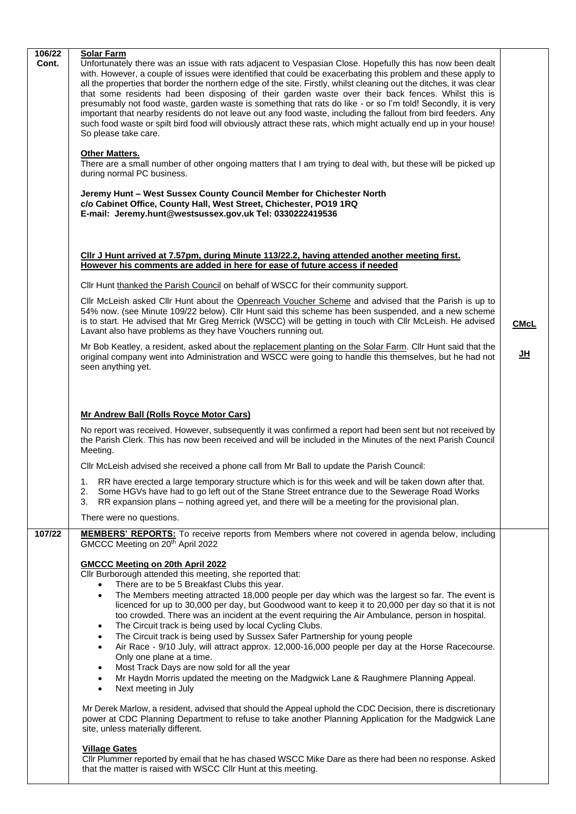| 106/22 | <b>Solar Farm</b>                                                                                                                                                                                                                                                                                                                                                                                                                                                                                                                                                                                                                                                                                                                                                                                                                      |             |
|--------|----------------------------------------------------------------------------------------------------------------------------------------------------------------------------------------------------------------------------------------------------------------------------------------------------------------------------------------------------------------------------------------------------------------------------------------------------------------------------------------------------------------------------------------------------------------------------------------------------------------------------------------------------------------------------------------------------------------------------------------------------------------------------------------------------------------------------------------|-------------|
| Cont.  | Unfortunately there was an issue with rats adjacent to Vespasian Close. Hopefully this has now been dealt<br>with. However, a couple of issues were identified that could be exacerbating this problem and these apply to<br>all the properties that border the northern edge of the site. Firstly, whilst cleaning out the ditches, it was clear<br>that some residents had been disposing of their garden waste over their back fences. Whilst this is<br>presumably not food waste, garden waste is something that rats do like - or so I'm told! Secondly, it is very<br>important that nearby residents do not leave out any food waste, including the fallout from bird feeders. Any<br>such food waste or spilt bird food will obviously attract these rats, which might actually end up in your house!<br>So please take care. |             |
|        | <b>Other Matters.</b><br>There are a small number of other ongoing matters that I am trying to deal with, but these will be picked up<br>during normal PC business.                                                                                                                                                                                                                                                                                                                                                                                                                                                                                                                                                                                                                                                                    |             |
|        | Jeremy Hunt - West Sussex County Council Member for Chichester North<br>c/o Cabinet Office, County Hall, West Street, Chichester, PO19 1RQ<br>E-mail: Jeremy.hunt@westsussex.gov.uk Tel: 0330222419536                                                                                                                                                                                                                                                                                                                                                                                                                                                                                                                                                                                                                                 |             |
|        | CIIr J Hunt arrived at 7.57pm, during Minute 113/22.2, having attended another meeting first.<br>However his comments are added in here for ease of future access if needed                                                                                                                                                                                                                                                                                                                                                                                                                                                                                                                                                                                                                                                            |             |
|        | CIIr Hunt thanked the Parish Council on behalf of WSCC for their community support.                                                                                                                                                                                                                                                                                                                                                                                                                                                                                                                                                                                                                                                                                                                                                    |             |
|        | Cllr McLeish asked Cllr Hunt about the Openreach Voucher Scheme and advised that the Parish is up to<br>54% now. (see Minute 109/22 below). Cllr Hunt said this scheme has been suspended, and a new scheme<br>is to start. He advised that Mr Greg Merrick (WSCC) will be getting in touch with Cllr McLeish. He advised<br>Lavant also have problems as they have Vouchers running out.                                                                                                                                                                                                                                                                                                                                                                                                                                              | <b>CMcL</b> |
|        | Mr Bob Keatley, a resident, asked about the replacement planting on the Solar Farm. Cllr Hunt said that the<br>original company went into Administration and WSCC were going to handle this themselves, but he had not<br>seen anything yet.                                                                                                                                                                                                                                                                                                                                                                                                                                                                                                                                                                                           | JH          |
|        | Mr Andrew Ball (Rolls Royce Motor Cars)<br>No report was received. However, subsequently it was confirmed a report had been sent but not received by<br>the Parish Clerk. This has now been received and will be included in the Minutes of the next Parish Council<br>Meeting.                                                                                                                                                                                                                                                                                                                                                                                                                                                                                                                                                        |             |
|        | Cllr McLeish advised she received a phone call from Mr Ball to update the Parish Council:                                                                                                                                                                                                                                                                                                                                                                                                                                                                                                                                                                                                                                                                                                                                              |             |
|        | RR have erected a large temporary structure which is for this week and will be taken down after that.<br>1.<br>Some HGVs have had to go left out of the Stane Street entrance due to the Sewerage Road Works<br>2.<br>RR expansion plans – nothing agreed yet, and there will be a meeting for the provisional plan.<br>3.                                                                                                                                                                                                                                                                                                                                                                                                                                                                                                             |             |
|        | There were no questions.                                                                                                                                                                                                                                                                                                                                                                                                                                                                                                                                                                                                                                                                                                                                                                                                               |             |
| 107/22 | <b>MEMBERS' REPORTS:</b> To receive reports from Members where not covered in agenda below, including<br>GMCCC Meeting on 20 <sup>th</sup> April 2022                                                                                                                                                                                                                                                                                                                                                                                                                                                                                                                                                                                                                                                                                  |             |
|        | <b>GMCCC Meeting on 20th April 2022</b><br>Cllr Burborough attended this meeting, she reported that:<br>There are to be 5 Breakfast Clubs this year.<br>The Members meeting attracted 18,000 people per day which was the largest so far. The event is<br>$\bullet$                                                                                                                                                                                                                                                                                                                                                                                                                                                                                                                                                                    |             |
|        | licenced for up to 30,000 per day, but Goodwood want to keep it to 20,000 per day so that it is not<br>too crowded. There was an incident at the event requiring the Air Ambulance, person in hospital.<br>The Circuit track is being used by local Cycling Clubs.<br>$\bullet$<br>The Circuit track is being used by Sussex Safer Partnership for young people<br>$\bullet$<br>Air Race - 9/10 July, will attract approx. 12,000-16,000 people per day at the Horse Racecourse.<br>$\bullet$                                                                                                                                                                                                                                                                                                                                          |             |
|        | Only one plane at a time.<br>Most Track Days are now sold for all the year<br>٠<br>Mr Haydn Morris updated the meeting on the Madgwick Lane & Raughmere Planning Appeal.<br>$\bullet$<br>Next meeting in July<br>$\bullet$                                                                                                                                                                                                                                                                                                                                                                                                                                                                                                                                                                                                             |             |
|        | Mr Derek Marlow, a resident, advised that should the Appeal uphold the CDC Decision, there is discretionary<br>power at CDC Planning Department to refuse to take another Planning Application for the Madgwick Lane<br>site, unless materially different.                                                                                                                                                                                                                                                                                                                                                                                                                                                                                                                                                                             |             |
|        | <b>Village Gates</b><br>Cllr Plummer reported by email that he has chased WSCC Mike Dare as there had been no response. Asked<br>that the matter is raised with WSCC CIIr Hunt at this meeting.                                                                                                                                                                                                                                                                                                                                                                                                                                                                                                                                                                                                                                        |             |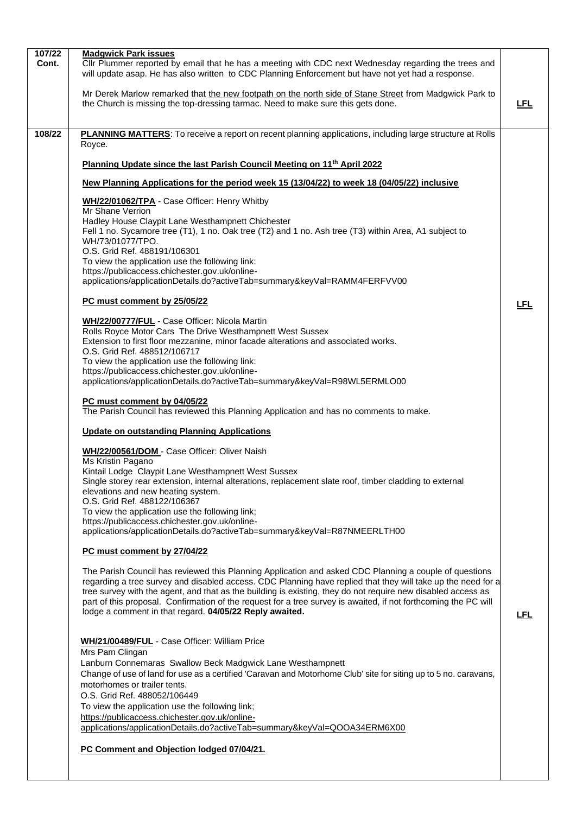| 107/22 | <b>Madgwick Park issues</b>                                                                                                                                                                                            |     |
|--------|------------------------------------------------------------------------------------------------------------------------------------------------------------------------------------------------------------------------|-----|
| Cont.  | CIIr Plummer reported by email that he has a meeting with CDC next Wednesday regarding the trees and<br>will update asap. He has also written to CDC Planning Enforcement but have not yet had a response.             |     |
|        | Mr Derek Marlow remarked that the new footpath on the north side of Stane Street from Madgwick Park to<br>the Church is missing the top-dressing tarmac. Need to make sure this gets done.                             | LFL |
| 108/22 | PLANNING MATTERS: To receive a report on recent planning applications, including large structure at Rolls                                                                                                              |     |
|        | Royce.                                                                                                                                                                                                                 |     |
|        | Planning Update since the last Parish Council Meeting on 11 <sup>th</sup> April 2022                                                                                                                                   |     |
|        | New Planning Applications for the period week 15 (13/04/22) to week 18 (04/05/22) inclusive                                                                                                                            |     |
|        | WH/22/01062/TPA - Case Officer: Henry Whitby<br>Mr Shane Verrion                                                                                                                                                       |     |
|        | Hadley House Claypit Lane Westhampnett Chichester<br>Fell 1 no. Sycamore tree (T1), 1 no. Oak tree (T2) and 1 no. Ash tree (T3) within Area, A1 subject to<br>WH/73/01077/TPO.                                         |     |
|        | O.S. Grid Ref. 488191/106301                                                                                                                                                                                           |     |
|        | To view the application use the following link:<br>https://publicaccess.chichester.gov.uk/online-                                                                                                                      |     |
|        | applications/applicationDetails.do?activeTab=summary&keyVal=RAMM4FERFVV00                                                                                                                                              |     |
|        | PC must comment by 25/05/22                                                                                                                                                                                            | LFL |
|        | WH/22/00777/FUL - Case Officer: Nicola Martin                                                                                                                                                                          |     |
|        | Rolls Royce Motor Cars The Drive Westhampnett West Sussex<br>Extension to first floor mezzanine, minor facade alterations and associated works.                                                                        |     |
|        | O.S. Grid Ref. 488512/106717                                                                                                                                                                                           |     |
|        | To view the application use the following link:                                                                                                                                                                        |     |
|        | https://publicaccess.chichester.gov.uk/online-<br>applications/applicationDetails.do?activeTab=summary&keyVal=R98WL5ERMLO00                                                                                            |     |
|        | PC must comment by 04/05/22<br>The Parish Council has reviewed this Planning Application and has no comments to make.                                                                                                  |     |
|        | <b>Update on outstanding Planning Applications</b>                                                                                                                                                                     |     |
|        | WH/22/00561/DOM - Case Officer: Oliver Naish<br>Ms Kristin Pagano                                                                                                                                                      |     |
|        | Kintail Lodge Claypit Lane Westhampnett West Sussex                                                                                                                                                                    |     |
|        | Single storey rear extension, internal alterations, replacement slate roof, timber cladding to external                                                                                                                |     |
|        | elevations and new heating system.<br>O.S. Grid Ref. 488122/106367                                                                                                                                                     |     |
|        | To view the application use the following link;                                                                                                                                                                        |     |
|        | https://publicaccess.chichester.gov.uk/online-<br>applications/applicationDetails.do?activeTab=summary&keyVal=R87NMEERLTH00                                                                                            |     |
|        | PC must comment by 27/04/22                                                                                                                                                                                            |     |
|        |                                                                                                                                                                                                                        |     |
|        | The Parish Council has reviewed this Planning Application and asked CDC Planning a couple of questions<br>regarding a tree survey and disabled access. CDC Planning have replied that they will take up the need for a |     |
|        | tree survey with the agent, and that as the building is existing, they do not require new disabled access as                                                                                                           |     |
|        | part of this proposal. Confirmation of the request for a tree survey is awaited, if not forthcoming the PC will<br>lodge a comment in that regard. 04/05/22 Reply awaited.                                             | LFL |
|        |                                                                                                                                                                                                                        |     |
|        | WH/21/00489/FUL - Case Officer: William Price<br>Mrs Pam Clingan                                                                                                                                                       |     |
|        | Lanburn Connemaras Swallow Beck Madgwick Lane Westhampnett                                                                                                                                                             |     |
|        | Change of use of land for use as a certified 'Caravan and Motorhome Club' site for siting up to 5 no. caravans,                                                                                                        |     |
|        | motorhomes or trailer tents.<br>O.S. Grid Ref. 488052/106449                                                                                                                                                           |     |
|        | To view the application use the following link;                                                                                                                                                                        |     |
|        | https://publicaccess.chichester.gov.uk/online-                                                                                                                                                                         |     |
|        | applications/applicationDetails.do?activeTab=summary&keyVal=QOOA34ERM6X00                                                                                                                                              |     |
|        | PC Comment and Objection lodged 07/04/21.                                                                                                                                                                              |     |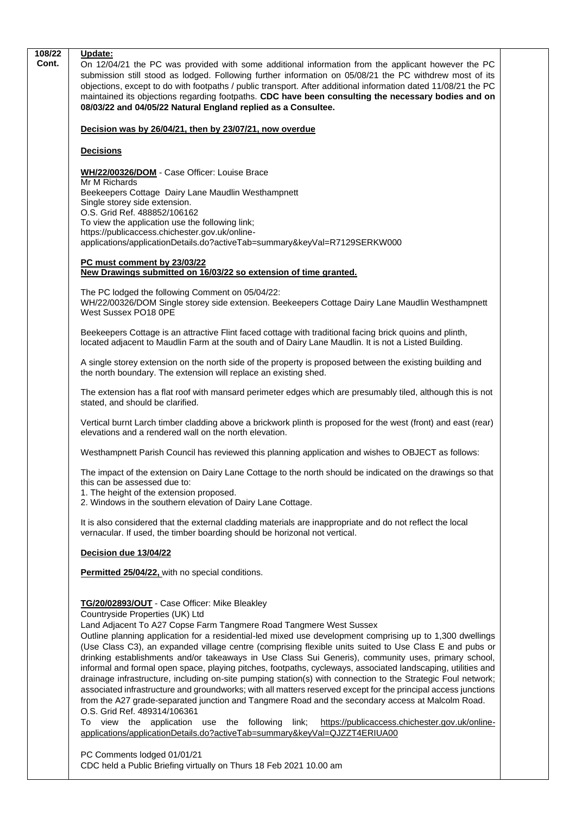| 108/22<br>Cont. | Update:<br>On 12/04/21 the PC was provided with some additional information from the applicant however the PC<br>submission still stood as lodged. Following further information on 05/08/21 the PC withdrew most of its<br>objections, except to do with footpaths / public transport. After additional information dated 11/08/21 the PC<br>maintained its objections regarding footpaths. CDC have been consulting the necessary bodies and on<br>08/03/22 and 04/05/22 Natural England replied as a Consultee.                                                                                                                                                                                                                                                                                                                                                                                                                                                                                                                                                                                                                                             |  |
|-----------------|----------------------------------------------------------------------------------------------------------------------------------------------------------------------------------------------------------------------------------------------------------------------------------------------------------------------------------------------------------------------------------------------------------------------------------------------------------------------------------------------------------------------------------------------------------------------------------------------------------------------------------------------------------------------------------------------------------------------------------------------------------------------------------------------------------------------------------------------------------------------------------------------------------------------------------------------------------------------------------------------------------------------------------------------------------------------------------------------------------------------------------------------------------------|--|
|                 | Decision was by 26/04/21, then by 23/07/21, now overdue                                                                                                                                                                                                                                                                                                                                                                                                                                                                                                                                                                                                                                                                                                                                                                                                                                                                                                                                                                                                                                                                                                        |  |
|                 | <b>Decisions</b>                                                                                                                                                                                                                                                                                                                                                                                                                                                                                                                                                                                                                                                                                                                                                                                                                                                                                                                                                                                                                                                                                                                                               |  |
|                 | WH/22/00326/DOM - Case Officer: Louise Brace<br>Mr M Richards                                                                                                                                                                                                                                                                                                                                                                                                                                                                                                                                                                                                                                                                                                                                                                                                                                                                                                                                                                                                                                                                                                  |  |
|                 | Beekeepers Cottage Dairy Lane Maudlin Westhampnett<br>Single storey side extension.                                                                                                                                                                                                                                                                                                                                                                                                                                                                                                                                                                                                                                                                                                                                                                                                                                                                                                                                                                                                                                                                            |  |
|                 | O.S. Grid Ref. 488852/106162                                                                                                                                                                                                                                                                                                                                                                                                                                                                                                                                                                                                                                                                                                                                                                                                                                                                                                                                                                                                                                                                                                                                   |  |
|                 | To view the application use the following link;                                                                                                                                                                                                                                                                                                                                                                                                                                                                                                                                                                                                                                                                                                                                                                                                                                                                                                                                                                                                                                                                                                                |  |
|                 | https://publicaccess.chichester.gov.uk/online-<br>applications/applicationDetails.do?activeTab=summary&keyVal=R7129SERKW000                                                                                                                                                                                                                                                                                                                                                                                                                                                                                                                                                                                                                                                                                                                                                                                                                                                                                                                                                                                                                                    |  |
|                 | PC must comment by 23/03/22<br>New Drawings submitted on 16/03/22 so extension of time granted.                                                                                                                                                                                                                                                                                                                                                                                                                                                                                                                                                                                                                                                                                                                                                                                                                                                                                                                                                                                                                                                                |  |
|                 |                                                                                                                                                                                                                                                                                                                                                                                                                                                                                                                                                                                                                                                                                                                                                                                                                                                                                                                                                                                                                                                                                                                                                                |  |
|                 | The PC lodged the following Comment on 05/04/22:<br>WH/22/00326/DOM Single storey side extension. Beekeepers Cottage Dairy Lane Maudlin Westhampnett<br>West Sussex PO18 0PE                                                                                                                                                                                                                                                                                                                                                                                                                                                                                                                                                                                                                                                                                                                                                                                                                                                                                                                                                                                   |  |
|                 | Beekeepers Cottage is an attractive Flint faced cottage with traditional facing brick quoins and plinth,<br>located adjacent to Maudlin Farm at the south and of Dairy Lane Maudlin. It is not a Listed Building.                                                                                                                                                                                                                                                                                                                                                                                                                                                                                                                                                                                                                                                                                                                                                                                                                                                                                                                                              |  |
|                 | A single storey extension on the north side of the property is proposed between the existing building and<br>the north boundary. The extension will replace an existing shed.                                                                                                                                                                                                                                                                                                                                                                                                                                                                                                                                                                                                                                                                                                                                                                                                                                                                                                                                                                                  |  |
|                 | The extension has a flat roof with mansard perimeter edges which are presumably tiled, although this is not<br>stated, and should be clarified.                                                                                                                                                                                                                                                                                                                                                                                                                                                                                                                                                                                                                                                                                                                                                                                                                                                                                                                                                                                                                |  |
|                 | Vertical burnt Larch timber cladding above a brickwork plinth is proposed for the west (front) and east (rear)<br>elevations and a rendered wall on the north elevation.                                                                                                                                                                                                                                                                                                                                                                                                                                                                                                                                                                                                                                                                                                                                                                                                                                                                                                                                                                                       |  |
|                 | Westhampnett Parish Council has reviewed this planning application and wishes to OBJECT as follows:                                                                                                                                                                                                                                                                                                                                                                                                                                                                                                                                                                                                                                                                                                                                                                                                                                                                                                                                                                                                                                                            |  |
|                 | The impact of the extension on Dairy Lane Cottage to the north should be indicated on the drawings so that<br>this can be assessed due to:<br>1. The height of the extension proposed.<br>2. Windows in the southern elevation of Dairy Lane Cottage.                                                                                                                                                                                                                                                                                                                                                                                                                                                                                                                                                                                                                                                                                                                                                                                                                                                                                                          |  |
|                 | It is also considered that the external cladding materials are inappropriate and do not reflect the local<br>vernacular. If used, the timber boarding should be horizonal not vertical.                                                                                                                                                                                                                                                                                                                                                                                                                                                                                                                                                                                                                                                                                                                                                                                                                                                                                                                                                                        |  |
|                 | Decision due 13/04/22                                                                                                                                                                                                                                                                                                                                                                                                                                                                                                                                                                                                                                                                                                                                                                                                                                                                                                                                                                                                                                                                                                                                          |  |
|                 | Permitted 25/04/22, with no special conditions.                                                                                                                                                                                                                                                                                                                                                                                                                                                                                                                                                                                                                                                                                                                                                                                                                                                                                                                                                                                                                                                                                                                |  |
|                 | TG/20/02893/OUT - Case Officer: Mike Bleakley<br>Countryside Properties (UK) Ltd<br>Land Adjacent To A27 Copse Farm Tangmere Road Tangmere West Sussex<br>Outline planning application for a residential-led mixed use development comprising up to 1,300 dwellings<br>(Use Class C3), an expanded village centre (comprising flexible units suited to Use Class E and pubs or<br>drinking establishments and/or takeaways in Use Class Sui Generis), community uses, primary school,<br>informal and formal open space, playing pitches, footpaths, cycleways, associated landscaping, utilities and<br>drainage infrastructure, including on-site pumping station(s) with connection to the Strategic Foul network;<br>associated infrastructure and groundworks; with all matters reserved except for the principal access junctions<br>from the A27 grade-separated junction and Tangmere Road and the secondary access at Malcolm Road.<br>O.S. Grid Ref. 489314/106361<br>To view the application use the following link;<br>https://publicaccess.chichester.gov.uk/online-<br>applications/applicationDetails.do?activeTab=summary&keyVal=QJZZT4ERIUA00 |  |
|                 | PC Comments lodged 01/01/21<br>CDC held a Public Briefing virtually on Thurs 18 Feb 2021 10.00 am                                                                                                                                                                                                                                                                                                                                                                                                                                                                                                                                                                                                                                                                                                                                                                                                                                                                                                                                                                                                                                                              |  |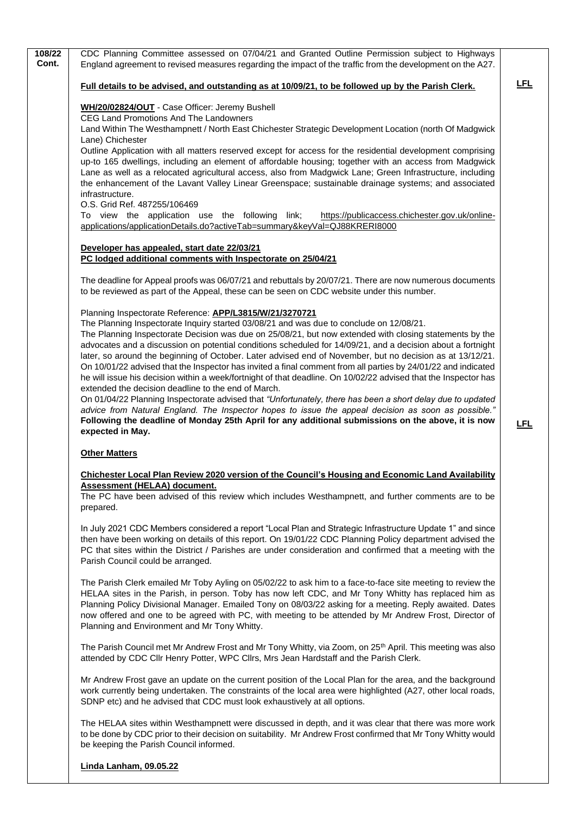| CDC Planning Committee assessed on 07/04/21 and Granted Outline Permission subject to Highways<br>England agreement to revised measures regarding the impact of the traffic from the development on the A27.                                                                                                                                                                                                                                                                                                                                                                                                                                                                                                                                                                                                                                                                                                                                                                                                                                                                                                                        |                                                                                                                                                                                                             |
|-------------------------------------------------------------------------------------------------------------------------------------------------------------------------------------------------------------------------------------------------------------------------------------------------------------------------------------------------------------------------------------------------------------------------------------------------------------------------------------------------------------------------------------------------------------------------------------------------------------------------------------------------------------------------------------------------------------------------------------------------------------------------------------------------------------------------------------------------------------------------------------------------------------------------------------------------------------------------------------------------------------------------------------------------------------------------------------------------------------------------------------|-------------------------------------------------------------------------------------------------------------------------------------------------------------------------------------------------------------|
| Full details to be advised, and outstanding as at 10/09/21, to be followed up by the Parish Clerk.                                                                                                                                                                                                                                                                                                                                                                                                                                                                                                                                                                                                                                                                                                                                                                                                                                                                                                                                                                                                                                  | <u>LFL</u>                                                                                                                                                                                                  |
| WH/20/02824/OUT - Case Officer: Jeremy Bushell<br>CEG Land Promotions And The Landowners                                                                                                                                                                                                                                                                                                                                                                                                                                                                                                                                                                                                                                                                                                                                                                                                                                                                                                                                                                                                                                            |                                                                                                                                                                                                             |
| Lane) Chichester<br>Outline Application with all matters reserved except for access for the residential development comprising<br>up-to 165 dwellings, including an element of affordable housing; together with an access from Madgwick<br>Lane as well as a relocated agricultural access, also from Madgwick Lane; Green Infrastructure, including<br>the enhancement of the Lavant Valley Linear Greenspace; sustainable drainage systems; and associated<br>infrastructure.<br>O.S. Grid Ref. 487255/106469                                                                                                                                                                                                                                                                                                                                                                                                                                                                                                                                                                                                                    |                                                                                                                                                                                                             |
| applications/applicationDetails.do?activeTab=summary&keyVal=QJ88KRERI8000                                                                                                                                                                                                                                                                                                                                                                                                                                                                                                                                                                                                                                                                                                                                                                                                                                                                                                                                                                                                                                                           |                                                                                                                                                                                                             |
| Developer has appealed, start date 22/03/21<br>PC lodged additional comments with Inspectorate on 25/04/21                                                                                                                                                                                                                                                                                                                                                                                                                                                                                                                                                                                                                                                                                                                                                                                                                                                                                                                                                                                                                          |                                                                                                                                                                                                             |
| The deadline for Appeal proofs was 06/07/21 and rebuttals by 20/07/21. There are now numerous documents<br>to be reviewed as part of the Appeal, these can be seen on CDC website under this number.                                                                                                                                                                                                                                                                                                                                                                                                                                                                                                                                                                                                                                                                                                                                                                                                                                                                                                                                |                                                                                                                                                                                                             |
| Planning Inspectorate Reference: APP/L3815/W/21/3270721<br>The Planning Inspectorate Inquiry started 03/08/21 and was due to conclude on 12/08/21.<br>The Planning Inspectorate Decision was due on 25/08/21, but now extended with closing statements by the<br>advocates and a discussion on potential conditions scheduled for 14/09/21, and a decision about a fortnight<br>later, so around the beginning of October. Later advised end of November, but no decision as at 13/12/21.<br>On 10/01/22 advised that the Inspector has invited a final comment from all parties by 24/01/22 and indicated<br>he will issue his decision within a week/fortnight of that deadline. On 10/02/22 advised that the Inspector has<br>extended the decision deadline to the end of March.<br>On 01/04/22 Planning Inspectorate advised that "Unfortunately, there has been a short delay due to updated<br>advice from Natural England. The Inspector hopes to issue the appeal decision as soon as possible."<br>Following the deadline of Monday 25th April for any additional submissions on the above, it is now<br>expected in May. | <u>LFL</u>                                                                                                                                                                                                  |
| <b>Other Matters</b>                                                                                                                                                                                                                                                                                                                                                                                                                                                                                                                                                                                                                                                                                                                                                                                                                                                                                                                                                                                                                                                                                                                |                                                                                                                                                                                                             |
| <b>Chichester Local Plan Review 2020 version of the Council's Housing and Economic Land Availability</b><br>Assessment (HELAA) document.<br>The PC have been advised of this review which includes Westhampnett, and further comments are to be<br>prepared.                                                                                                                                                                                                                                                                                                                                                                                                                                                                                                                                                                                                                                                                                                                                                                                                                                                                        |                                                                                                                                                                                                             |
| In July 2021 CDC Members considered a report "Local Plan and Strategic Infrastructure Update 1" and since<br>then have been working on details of this report. On 19/01/22 CDC Planning Policy department advised the<br>PC that sites within the District / Parishes are under consideration and confirmed that a meeting with the<br>Parish Council could be arranged.                                                                                                                                                                                                                                                                                                                                                                                                                                                                                                                                                                                                                                                                                                                                                            |                                                                                                                                                                                                             |
| The Parish Clerk emailed Mr Toby Ayling on 05/02/22 to ask him to a face-to-face site meeting to review the<br>HELAA sites in the Parish, in person. Toby has now left CDC, and Mr Tony Whitty has replaced him as<br>Planning Policy Divisional Manager. Emailed Tony on 08/03/22 asking for a meeting. Reply awaited. Dates<br>now offered and one to be agreed with PC, with meeting to be attended by Mr Andrew Frost, Director of<br>Planning and Environment and Mr Tony Whitty.                                                                                                                                                                                                                                                                                                                                                                                                                                                                                                                                                                                                                                              |                                                                                                                                                                                                             |
| The Parish Council met Mr Andrew Frost and Mr Tony Whitty, via Zoom, on 25 <sup>th</sup> April. This meeting was also<br>attended by CDC Cllr Henry Potter, WPC Cllrs, Mrs Jean Hardstaff and the Parish Clerk.                                                                                                                                                                                                                                                                                                                                                                                                                                                                                                                                                                                                                                                                                                                                                                                                                                                                                                                     |                                                                                                                                                                                                             |
| Mr Andrew Frost gave an update on the current position of the Local Plan for the area, and the background<br>work currently being undertaken. The constraints of the local area were highlighted (A27, other local roads,<br>SDNP etc) and he advised that CDC must look exhaustively at all options.                                                                                                                                                                                                                                                                                                                                                                                                                                                                                                                                                                                                                                                                                                                                                                                                                               |                                                                                                                                                                                                             |
| The HELAA sites within Westhampnett were discussed in depth, and it was clear that there was more work<br>to be done by CDC prior to their decision on suitability. Mr Andrew Frost confirmed that Mr Tony Whitty would<br>be keeping the Parish Council informed.                                                                                                                                                                                                                                                                                                                                                                                                                                                                                                                                                                                                                                                                                                                                                                                                                                                                  |                                                                                                                                                                                                             |
|                                                                                                                                                                                                                                                                                                                                                                                                                                                                                                                                                                                                                                                                                                                                                                                                                                                                                                                                                                                                                                                                                                                                     | Land Within The Westhampnett / North East Chichester Strategic Development Location (north Of Madgwick<br>To view the application use the following link;<br>https://publicaccess.chichester.gov.uk/online- |

**Linda Lanham, 09.05.22**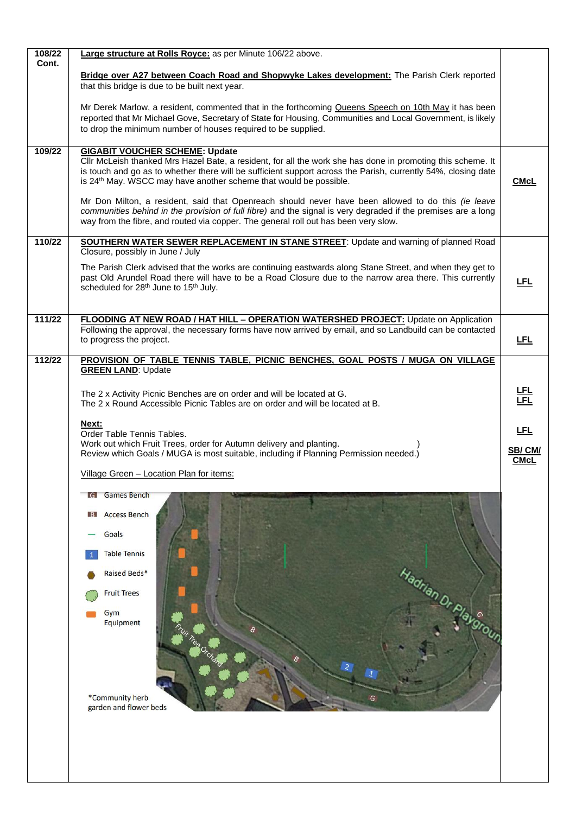| Bridge over A27 between Coach Road and Shopwyke Lakes development: The Parish Clerk reported<br>that this bridge is due to be built next year.                                                                                                                                                                                                                                                                                                                                                                                                                                |                                                                                                                                                                                                                                                                                                                                                                                                                                                 |
|-------------------------------------------------------------------------------------------------------------------------------------------------------------------------------------------------------------------------------------------------------------------------------------------------------------------------------------------------------------------------------------------------------------------------------------------------------------------------------------------------------------------------------------------------------------------------------|-------------------------------------------------------------------------------------------------------------------------------------------------------------------------------------------------------------------------------------------------------------------------------------------------------------------------------------------------------------------------------------------------------------------------------------------------|
| Mr Derek Marlow, a resident, commented that in the forthcoming Queens Speech on 10th May it has been<br>reported that Mr Michael Gove, Secretary of State for Housing, Communities and Local Government, is likely<br>to drop the minimum number of houses required to be supplied.                                                                                                                                                                                                                                                                                           |                                                                                                                                                                                                                                                                                                                                                                                                                                                 |
| <b>GIGABIT VOUCHER SCHEME: Update</b><br>CIIr McLeish thanked Mrs Hazel Bate, a resident, for all the work she has done in promoting this scheme. It<br>is touch and go as to whether there will be sufficient support across the Parish, currently 54%, closing date<br>is 24 <sup>th</sup> May. WSCC may have another scheme that would be possible.<br>Mr Don Milton, a resident, said that Openreach should never have been allowed to do this (ie leave<br>communities behind in the provision of full fibre) and the signal is very degraded if the premises are a long | <b>CMcL</b>                                                                                                                                                                                                                                                                                                                                                                                                                                     |
|                                                                                                                                                                                                                                                                                                                                                                                                                                                                                                                                                                               |                                                                                                                                                                                                                                                                                                                                                                                                                                                 |
| Closure, possibly in June / July                                                                                                                                                                                                                                                                                                                                                                                                                                                                                                                                              |                                                                                                                                                                                                                                                                                                                                                                                                                                                 |
| The Parish Clerk advised that the works are continuing eastwards along Stane Street, and when they get to<br>past Old Arundel Road there will have to be a Road Closure due to the narrow area there. This currently<br>scheduled for 28 <sup>th</sup> June to 15 <sup>th</sup> July.                                                                                                                                                                                                                                                                                         | <b>LFL</b>                                                                                                                                                                                                                                                                                                                                                                                                                                      |
| <b>FLOODING AT NEW ROAD / HAT HILL - OPERATION WATERSHED PROJECT: Update on Application</b>                                                                                                                                                                                                                                                                                                                                                                                                                                                                                   |                                                                                                                                                                                                                                                                                                                                                                                                                                                 |
| to progress the project.                                                                                                                                                                                                                                                                                                                                                                                                                                                                                                                                                      | <u>LFL</u>                                                                                                                                                                                                                                                                                                                                                                                                                                      |
| PROVISION OF TABLE TENNIS TABLE, PICNIC BENCHES, GOAL POSTS / MUGA ON VILLAGE                                                                                                                                                                                                                                                                                                                                                                                                                                                                                                 |                                                                                                                                                                                                                                                                                                                                                                                                                                                 |
|                                                                                                                                                                                                                                                                                                                                                                                                                                                                                                                                                                               |                                                                                                                                                                                                                                                                                                                                                                                                                                                 |
| The 2 x Activity Picnic Benches are on order and will be located at G.<br>The 2 x Round Accessible Picnic Tables are on order and will be located at B.                                                                                                                                                                                                                                                                                                                                                                                                                       | <u>LFL</u><br>LFL                                                                                                                                                                                                                                                                                                                                                                                                                               |
| Next:                                                                                                                                                                                                                                                                                                                                                                                                                                                                                                                                                                         | <u>LFL</u>                                                                                                                                                                                                                                                                                                                                                                                                                                      |
| Work out which Fruit Trees, order for Autumn delivery and planting.<br>Review which Goals / MUGA is most suitable, including if Planning Permission needed.)                                                                                                                                                                                                                                                                                                                                                                                                                  | SB/CM/<br><b>CMcL</b>                                                                                                                                                                                                                                                                                                                                                                                                                           |
| Village Green - Location Plan for items:                                                                                                                                                                                                                                                                                                                                                                                                                                                                                                                                      |                                                                                                                                                                                                                                                                                                                                                                                                                                                 |
| <b>IG</b> Games Bench                                                                                                                                                                                                                                                                                                                                                                                                                                                                                                                                                         |                                                                                                                                                                                                                                                                                                                                                                                                                                                 |
| <b>Access Bench</b><br>$\overline{B}$                                                                                                                                                                                                                                                                                                                                                                                                                                                                                                                                         |                                                                                                                                                                                                                                                                                                                                                                                                                                                 |
| Goals                                                                                                                                                                                                                                                                                                                                                                                                                                                                                                                                                                         |                                                                                                                                                                                                                                                                                                                                                                                                                                                 |
| <b>Table Tennis</b>                                                                                                                                                                                                                                                                                                                                                                                                                                                                                                                                                           |                                                                                                                                                                                                                                                                                                                                                                                                                                                 |
| Raised Beds*                                                                                                                                                                                                                                                                                                                                                                                                                                                                                                                                                                  |                                                                                                                                                                                                                                                                                                                                                                                                                                                 |
| <b>Fruit Trees</b>                                                                                                                                                                                                                                                                                                                                                                                                                                                                                                                                                            |                                                                                                                                                                                                                                                                                                                                                                                                                                                 |
| Gym                                                                                                                                                                                                                                                                                                                                                                                                                                                                                                                                                                           |                                                                                                                                                                                                                                                                                                                                                                                                                                                 |
| Equipment                                                                                                                                                                                                                                                                                                                                                                                                                                                                                                                                                                     |                                                                                                                                                                                                                                                                                                                                                                                                                                                 |
| *Community herb<br>G<br>garden and flower beds                                                                                                                                                                                                                                                                                                                                                                                                                                                                                                                                |                                                                                                                                                                                                                                                                                                                                                                                                                                                 |
|                                                                                                                                                                                                                                                                                                                                                                                                                                                                                                                                                                               | Large structure at Rolls Royce: as per Minute 106/22 above.<br>way from the fibre, and routed via copper. The general roll out has been very slow.<br><b>SOUTHERN WATER SEWER REPLACEMENT IN STANE STREET:</b> Update and warning of planned Road<br>Following the approval, the necessary forms have now arrived by email, and so Landbuild can be contacted<br><b>GREEN LAND: Update</b><br>Order Table Tennis Tables.<br>Hadrian Dr Playgrou |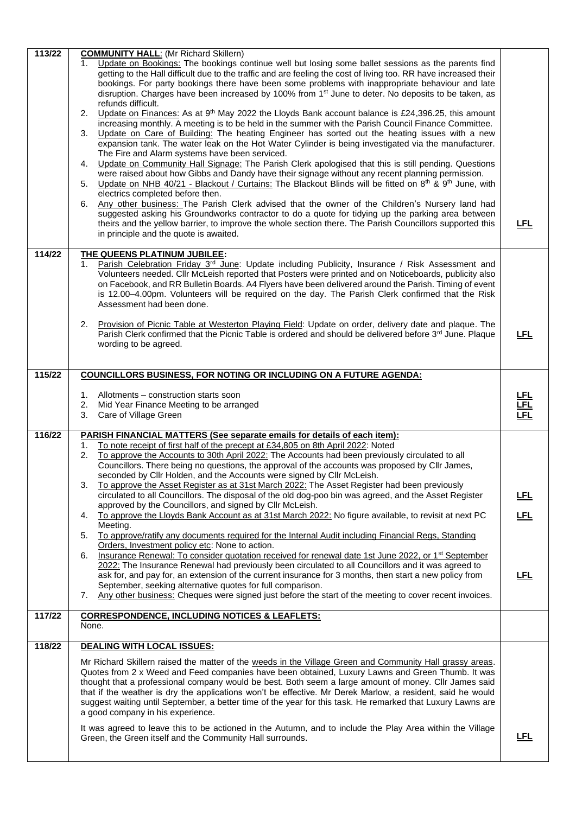| 113/22 | <b>COMMUNITY HALL: (Mr Richard Skillern)</b>                                                                                                                                                                                                                                                                                                                                                                                        |            |
|--------|-------------------------------------------------------------------------------------------------------------------------------------------------------------------------------------------------------------------------------------------------------------------------------------------------------------------------------------------------------------------------------------------------------------------------------------|------------|
|        | Update on Bookings: The bookings continue well but losing some ballet sessions as the parents find<br>1.<br>getting to the Hall difficult due to the traffic and are feeling the cost of living too. RR have increased their<br>bookings. For party bookings there have been some problems with inappropriate behaviour and late                                                                                                    |            |
|        | disruption. Charges have been increased by 100% from 1 <sup>st</sup> June to deter. No deposits to be taken, as<br>refunds difficult.                                                                                                                                                                                                                                                                                               |            |
|        | Update on Finances: As at 9 <sup>th</sup> May 2022 the Lloyds Bank account balance is £24,396.25, this amount<br>2.                                                                                                                                                                                                                                                                                                                 |            |
|        | increasing monthly. A meeting is to be held in the summer with the Parish Council Finance Committee.<br>Update on Care of Building: The heating Engineer has sorted out the heating issues with a new<br>3.<br>expansion tank. The water leak on the Hot Water Cylinder is being investigated via the manufacturer.                                                                                                                 |            |
|        | The Fire and Alarm systems have been serviced.                                                                                                                                                                                                                                                                                                                                                                                      |            |
|        | Update on Community Hall Signage: The Parish Clerk apologised that this is still pending. Questions<br>4.<br>were raised about how Gibbs and Dandy have their signage without any recent planning permission.                                                                                                                                                                                                                       |            |
|        | Update on NHB 40/21 - Blackout / Curtains: The Blackout Blinds will be fitted on 8 <sup>th</sup> & 9 <sup>th</sup> June, with<br>5.<br>electrics completed before then.                                                                                                                                                                                                                                                             |            |
|        | Any other business: The Parish Clerk advised that the owner of the Children's Nursery land had<br>6.<br>suggested asking his Groundworks contractor to do a quote for tidying up the parking area between<br>theirs and the yellow barrier, to improve the whole section there. The Parish Councillors supported this                                                                                                               | <u>LFL</u> |
|        | in principle and the quote is awaited.                                                                                                                                                                                                                                                                                                                                                                                              |            |
| 114/22 | THE QUEENS PLATINUM JUBILEE:                                                                                                                                                                                                                                                                                                                                                                                                        |            |
|        | Parish Celebration Friday 3 <sup>rd</sup> June: Update including Publicity, Insurance / Risk Assessment and<br>1.<br>Volunteers needed. Cllr McLeish reported that Posters were printed and on Noticeboards, publicity also                                                                                                                                                                                                         |            |
|        | on Facebook, and RR Bulletin Boards. A4 Flyers have been delivered around the Parish. Timing of event<br>is 12.00-4.00pm. Volunteers will be required on the day. The Parish Clerk confirmed that the Risk                                                                                                                                                                                                                          |            |
|        | Assessment had been done.                                                                                                                                                                                                                                                                                                                                                                                                           |            |
|        | Provision of Picnic Table at Westerton Playing Field: Update on order, delivery date and plaque. The<br>2.                                                                                                                                                                                                                                                                                                                          |            |
|        | Parish Clerk confirmed that the Picnic Table is ordered and should be delivered before 3rd June. Plaque<br>wording to be agreed.                                                                                                                                                                                                                                                                                                    | <u>LFL</u> |
|        |                                                                                                                                                                                                                                                                                                                                                                                                                                     |            |
| 115/22 | COUNCILLORS BUSINESS, FOR NOTING OR INCLUDING ON A FUTURE AGENDA:                                                                                                                                                                                                                                                                                                                                                                   |            |
|        | Allotments - construction starts soon<br>1.                                                                                                                                                                                                                                                                                                                                                                                         |            |
|        | 2.<br>Mid Year Finance Meeting to be arranged<br>Care of Village Green<br>3.                                                                                                                                                                                                                                                                                                                                                        |            |
| 116/22 | PARISH FINANCIAL MATTERS (See separate emails for details of each item):                                                                                                                                                                                                                                                                                                                                                            |            |
|        | To note receipt of first half of the precept at £34,805 on 8th April 2022: Noted<br>1.                                                                                                                                                                                                                                                                                                                                              |            |
|        | To approve the Accounts to 30th April 2022: The Accounts had been previously circulated to all<br>2.<br>Councillors. There being no questions, the approval of the accounts was proposed by Cllr James,                                                                                                                                                                                                                             |            |
|        | seconded by Cllr Holden, and the Accounts were signed by Cllr McLeish.<br>To approve the Asset Register as at 31st March 2022: The Asset Register had been previously<br>3.                                                                                                                                                                                                                                                         |            |
|        | circulated to all Councillors. The disposal of the old dog-poo bin was agreed, and the Asset Register<br>approved by the Councillors, and signed by Cllr McLeish.                                                                                                                                                                                                                                                                   | <u>LFL</u> |
|        | To approve the Lloyds Bank Account as at 31st March 2022: No figure available, to revisit at next PC<br>4.                                                                                                                                                                                                                                                                                                                          | <u>LFL</u> |
|        | Meeting.<br>To approve/ratify any documents required for the Internal Audit including Financial Regs, Standing<br>5.                                                                                                                                                                                                                                                                                                                |            |
|        | Orders, Investment policy etc: None to action.<br>Insurance Renewal: To consider quotation received for renewal date 1st June 2022, or 1 <sup>st</sup> September<br>6.                                                                                                                                                                                                                                                              |            |
|        |                                                                                                                                                                                                                                                                                                                                                                                                                                     |            |
|        | 2022: The Insurance Renewal had previously been circulated to all Councillors and it was agreed to                                                                                                                                                                                                                                                                                                                                  |            |
|        | ask for, and pay for, an extension of the current insurance for 3 months, then start a new policy from<br>September, seeking alternative quotes for full comparison.                                                                                                                                                                                                                                                                | <u>LFL</u> |
|        | Any other business: Cheques were signed just before the start of the meeting to cover recent invoices.<br>7.                                                                                                                                                                                                                                                                                                                        |            |
| 117/22 | <b>CORRESPONDENCE, INCLUDING NOTICES &amp; LEAFLETS:</b><br>None.                                                                                                                                                                                                                                                                                                                                                                   |            |
| 118/22 | <b>DEALING WITH LOCAL ISSUES:</b>                                                                                                                                                                                                                                                                                                                                                                                                   |            |
|        | Mr Richard Skillern raised the matter of the weeds in the Village Green and Community Hall grassy areas.<br>Quotes from 2 x Weed and Feed companies have been obtained, Luxury Lawns and Green Thumb. It was<br>thought that a professional company would be best. Both seem a large amount of money. Cllr James said<br>that if the weather is dry the applications won't be effective. Mr Derek Marlow, a resident, said he would |            |
|        | suggest waiting until September, a better time of the year for this task. He remarked that Luxury Lawns are<br>a good company in his experience.                                                                                                                                                                                                                                                                                    |            |
|        | It was agreed to leave this to be actioned in the Autumn, and to include the Play Area within the Village<br>Green, the Green itself and the Community Hall surrounds.                                                                                                                                                                                                                                                              | <b>LFL</b> |